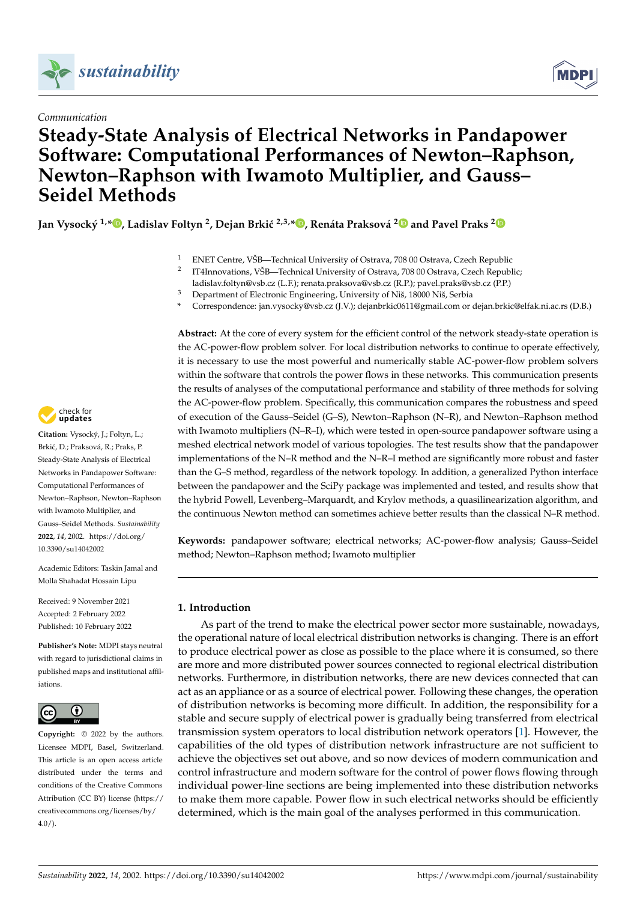



# *Communication* **Steady-State Analysis of Electrical Networks in Pandapower Software: Computational Performances of Newton–Raphson, Newton–Raphson with Iwamoto Multiplier, and Gauss– Seidel Methods**

**Jan Vysocký 1,\* , Ladislav Foltyn <sup>2</sup> , Dejan Brki´c 2,3,\* , Renáta Praksová <sup>2</sup> and Pavel Praks <sup>2</sup>**

- <sup>1</sup> ENET Centre, VŠB—Technical University of Ostrava, 708 00 Ostrava, Czech Republic
- $\overline{2}$ IT4Innovations, VŠB—Technical University of Ostrava, 708 00 Ostrava, Czech Republic;
- ladislav.foltyn@vsb.cz (L.F.); renata.praksova@vsb.cz (R.P.); pavel.praks@vsb.cz (P.P.)
- <sup>3</sup> Department of Electronic Engineering, University of Niš, 18000 Niš, Serbia
- **\*** Correspondence: jan.vysocky@vsb.cz (J.V.); dejanbrkic0611@gmail.com or dejan.brkic@elfak.ni.ac.rs (D.B.)

**Abstract:** At the core of every system for the efficient control of the network steady-state operation is the AC-power-flow problem solver. For local distribution networks to continue to operate effectively, it is necessary to use the most powerful and numerically stable AC-power-flow problem solvers within the software that controls the power flows in these networks. This communication presents the results of analyses of the computational performance and stability of three methods for solving the AC-power-flow problem. Specifically, this communication compares the robustness and speed of execution of the Gauss–Seidel (G–S), Newton–Raphson (N–R), and Newton–Raphson method with Iwamoto multipliers (N–R–I), which were tested in open-source pandapower software using a meshed electrical network model of various topologies. The test results show that the pandapower implementations of the N–R method and the N–R–I method are significantly more robust and faster than the G–S method, regardless of the network topology. In addition, a generalized Python interface between the pandapower and the SciPy package was implemented and tested, and results show that the hybrid Powell, Levenberg–Marquardt, and Krylov methods, a quasilinearization algorithm, and the continuous Newton method can sometimes achieve better results than the classical N–R method.

**Keywords:** pandapower software; electrical networks; AC-power-flow analysis; Gauss–Seidel method; Newton–Raphson method; Iwamoto multiplier

## **1. Introduction**

As part of the trend to make the electrical power sector more sustainable, nowadays, the operational nature of local electrical distribution networks is changing. There is an effort to produce electrical power as close as possible to the place where it is consumed, so there are more and more distributed power sources connected to regional electrical distribution networks. Furthermore, in distribution networks, there are new devices connected that can act as an appliance or as a source of electrical power. Following these changes, the operation of distribution networks is becoming more difficult. In addition, the responsibility for a stable and secure supply of electrical power is gradually being transferred from electrical transmission system operators to local distribution network operators [1]. However, the capabilities of the old types of distribution network infrastructure are not sufficient to achieve the objectives set out above, and so now devices of modern communication and control infrastructure and modern software for the control of power flows flowing through individual power-line sections are being implemented into these distribution networks to make them more capable. Power flow in such electrical networks should be efficiently determined, which is the main goal of the analyses performed in this communication.



**Citation:** Vysocký, J.; Foltyn, L.; Brkić, D.; Praksová, R.; Praks, P. Steady-State Analysis of Electrical Networks in Pandapower Software: Computational Performances of Newton–Raphson, Newton–Raphson with Iwamoto Multiplier, and Gauss–Seidel Methods. *Sustainability* **2022**, *14*, 2002. https://doi.org/ 10.3390/su14042002

Academic Editors: Taskin Jamal and Molla Shahadat Hossain Lipu

Received: 9 November 2021 Accepted: 2 February 2022 Published: 10 February 2022

**Publisher's Note:** MDPI stays neutral with regard to jurisdictional claims in published maps and institutional affiliations.



**Copyright:** © 2022 by the authors. Licensee MDPI, Basel, Switzerland. This article is an open access article distributed under the terms and conditions of the Creative Commons Attribution (CC BY) license (https:// creativecommons.org/licenses/by/  $4.0/$ ).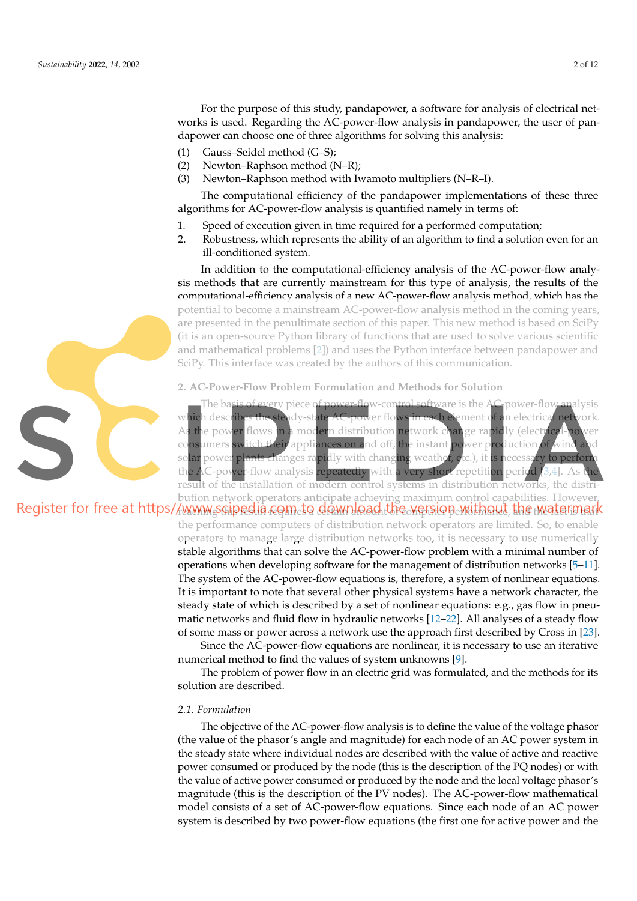For the purpose of this study, pandapower, a software for analysis of electrical networks is used. Regarding the AC-power-flow analysis in pandapower, the user of pandapower can choose one of three algorithms for solving this analysis:

- (1) Gauss–Seidel method (G–S);
- (2) Newton–Raphson method (N–R);
- (3) Newton–Raphson method with Iwamoto multipliers (N–R–I).

The computational efficiency of the pandapower implementations of these three algorithms for AC-power-flow analysis is quantified namely in terms of:

- 1. Speed of execution given in time required for a performed computation;
- 2. Robustness, which represents the ability of an algorithm to find a solution even for an ill-conditioned system.

In addition to the computational-efficiency analysis of the AC-power-flow analysis methods that are currently mainstream for this type of analysis, the results of the computational-efficiency analysis of a new AC-power-flow analysis method, which has the potential to become a mainstream AC-power-flow analysis method in the coming years, are presented in the penultimate section of this paper. This new method is based on SciPy (it is an open-source Python library of functions that are used to solve various scientific and mathematical problems [2]) and uses the Python interface between pandapower and SciPy. This interface was created by the authors of this communication.

#### **2. AC-Power-Flow Problem Formulation and Methods for Solution**

The basis of every piece of power-flow-control software is the AC-power-flow analysis which describes the steady-state AC-power flows in each element of an electrical network. A<mark>s th</mark>e pow<mark>er</mark> flows in a modern distribution network change rapidly (electrical-power consumers switch their appliances on and off, the instant power production of wind and so<mark>lar</mark> power plants changes rapidly with chang<mark>ing</mark> weather, etc.), it is necessary to perform the AC-power-flow analysis repeatedly with a very short repetition period [3,4]. As the result of the installation of modern control systems in distribution networks, the distri-

bution network operators anticipate achieving maximum control capabilities. However, Register for free at https//www.scipedia.com.to download.the version without, the watermark the performance computers of distribution network operators are limited. So, to enable operators to manage large distribution networks too, it is necessary to use numerically stable algorithms that can solve the AC-power-flow problem with a minimal number of operations when developing software for the management of distribution networks [5–11]. The system of the AC-power-flow equations is, therefore, a system of nonlinear equations. It is important to note that several other physical systems have a network character, the steady state of which is described by a set of nonlinear equations: e.g., gas flow in pneumatic networks and fluid flow in hydraulic networks [12–22]. All analyses of a steady flow of some mass or power across a network use the approach first described by Cross in [23].

> Since the AC-power-flow equations are nonlinear, it is necessary to use an iterative numerical method to find the values of system unknowns [9].

> The problem of power flow in an electric grid was formulated, and the methods for its solution are described.

#### *2.1. Formulation*

The objective of the AC-power-flow analysis is to define the value of the voltage phasor (the value of the phasor's angle and magnitude) for each node of an AC power system in the steady state where individual nodes are described with the value of active and reactive power consumed or produced by the node (this is the description of the PQ nodes) or with the value of active power consumed or produced by the node and the local voltage phasor's magnitude (this is the description of the PV nodes). The AC-power-flow mathematical model consists of a set of AC-power-flow equations. Since each node of an AC power system is described by two power-flow equations (the first one for active power and the

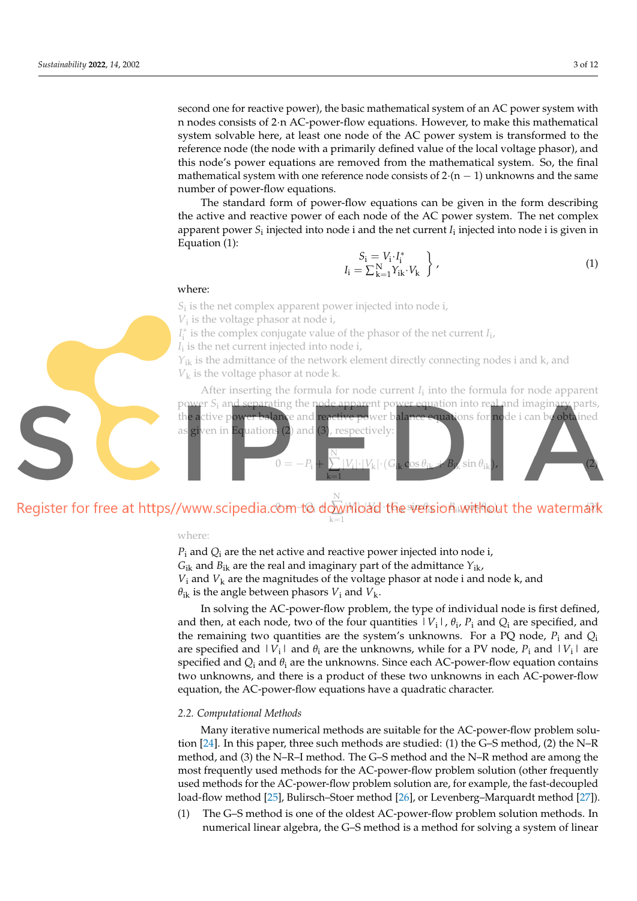second one for reactive power), the basic mathematical system of an AC power system with n nodes consists of 2·n AC-power-flow equations. However, to make this mathematical system solvable here, at least one node of the AC power system is transformed to the reference node (the node with a primarily defined value of the local voltage phasor), and this node's power equations are removed from the mathematical system. So, the final mathematical system with one reference node consists of  $2 \cdot (n - 1)$  unknowns and the same number of power-flow equations.

The standard form of power-flow equations can be given in the form describing the active and reactive power of each node of the AC power system. The net complex apparent power  $S_i$  injected into node i and the net current  $I_i$  injected into node i is given in Equation (1):

$$
S_{i} = V_{i} \cdot I_{i}^{*} \n\nI_{i} = \sum_{k=1}^{N} Y_{ik} \cdot V_{k} \n\n(1)
$$

 $|\cdot|V_k|\cdot(G_{ik}\cos\theta_{ik} + B_{ik}\sin\theta_{ik}),$  (2)

### where:

*S*i is the net complex apparent power injected into node i,

*V*i is the voltage phasor at node i,

*I*<sup>\*</sup> is the complex conjugate value of the phasor of the net current *I*<sub>1</sub>,

N ∑  $k=1$ |*V*<sup>i</sup>

*I*i is the net current injected into node i,

 $Y_{ik}$  is the admittance of the network element directly connecting nodes i and k, and  $V_k$  is the voltage phasor at node k.

After inserting the formula for node current *I*<sup>i</sup> into the formula for node apparent power *S*<sup>i</sup> and separating the node apparent power equation into real and imaginary parts, the active powe<del>r balanc</del>e and re<del>active po</del>wer balance equations for node i can be obtained as given in Equations  $(2)$  and  $(3)$ , respectively:



 $0 = -P_i +$ 

## where:

*P*<sup>i</sup> and *Q*<sup>i</sup> are the net active and reactive power injected into node i,  $G_{ik}$  and  $B_{ik}$  are the real and imaginary part of the admittance  $Y_{ik}$ ,  $V_i$  and  $V_k$  are the magnitudes of the voltage phasor at node i and node k, and  $\theta_{ik}$  is the angle between phasors  $V_i$  and  $V_k$ .

In solving the AC-power-flow problem, the type of individual node is first defined, and then, at each node, two of the four quantities  $|V_1|$ ,  $\theta_i$ ,  $P_i$  and  $Q_i$  are specified, and the remaining two quantities are the system's unknowns. For a PQ node,  $P_i$  and  $Q_i$ are specified and  $|V_i|$  and  $\theta_i$  are the unknowns, while for a PV node,  $P_i$  and  $|V_i|$  are specified and  $Q_i$  and  $\theta_i$  are the unknowns. Since each AC-power-flow equation contains two unknowns, and there is a product of these two unknowns in each AC-power-flow equation, the AC-power-flow equations have a quadratic character.

#### *2.2. Computational Methods*

Many iterative numerical methods are suitable for the AC-power-flow problem solution [24]. In this paper, three such methods are studied: (1) the G–S method, (2) the N–R method, and (3) the N–R–I method. The G–S method and the N–R method are among the most frequently used methods for the AC-power-flow problem solution (other frequently used methods for the AC-power-flow problem solution are, for example, the fast-decoupled load-flow method [25], Bulirsch–Stoer method [26], or Levenberg–Marquardt method [27]).

(1) The G–S method is one of the oldest AC-power-flow problem solution methods. In numerical linear algebra, the G–S method is a method for solving a system of linear

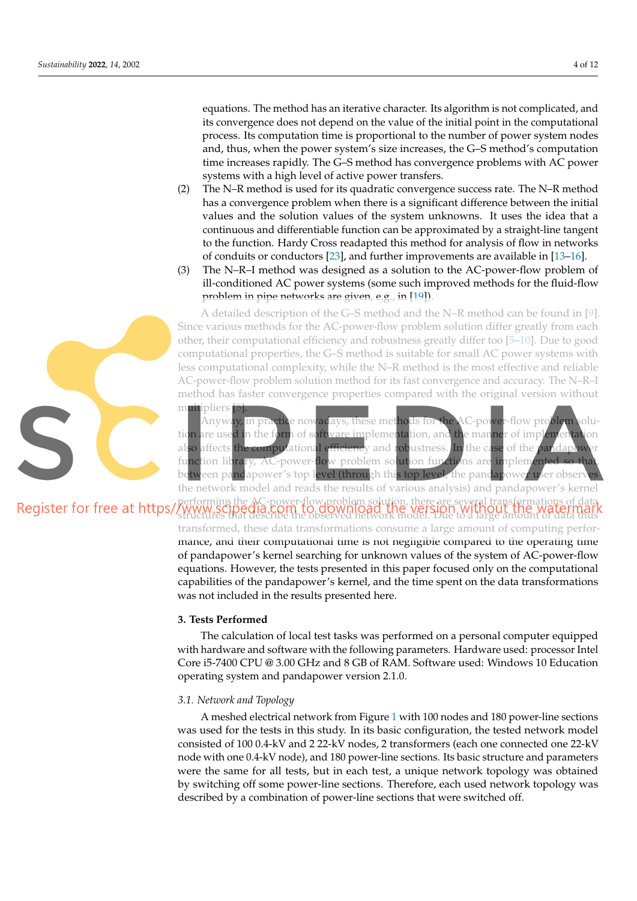equations. The method has an iterative character. Its algorithm is not complicated, and its convergence does not depend on the value of the initial point in the computational process. Its computation time is proportional to the number of power system nodes and, thus, when the power system's size increases, the G–S method's computation time increases rapidly. The G–S method has convergence problems with AC power systems with a high level of active power transfers.

- (2) The N–R method is used for its quadratic convergence success rate. The N–R method has a convergence problem when there is a significant difference between the initial values and the solution values of the system unknowns. It uses the idea that a continuous and differentiable function can be approximated by a straight-line tangent to the function. Hardy Cross readapted this method for analysis of flow in networks of conduits or conductors [23], and further improvements are available in [13–16].
- (3) The N–R–I method was designed as a solution to the AC-power-flow problem of ill-conditioned AC power systems (some such improved methods for the fluid-flow problem in pipe networks are given, e.g., in [19]).

A detailed description of the G–S method and the N–R method can be found in [9]. Since various methods for the AC-power-flow problem solution differ greatly from each other, their computational efficiency and robustness greatly differ too [5–10]. Due to good computational properties, the G–S method is suitable for small AC power systems with less computational complexity, while the N–R method is the most effective and reliable AC-power-flow problem solution method for its fast convergence and accuracy. The N–R–I method has faster convergence properties compared with the original version without ipliers  $\blacksquare$ 

Anyway, in practice nowadays, these methods for the AC-power-flow problem solution are use<mark>d i</mark>n the form of software implementation, and the manner of implemer also affects the computational efficiency and robustness. In the case of the pandapow function library, AC-power-flow problem solution functions are implemented so that between pandapower's top level (through this top level, the pandapower user observed the network model and reads the results of various analysis) and pandapower's kernel

performing the AC-power-flow problem solution, there are several transformations of data structures that describe the observed network model. Due to a large amount of data thus transformed, these data transformations consume a large amount of computing performance, and their computational time is not negligible compared to the operating time of pandapower's kernel searching for unknown values of the system of AC-power-flow equations. However, the tests presented in this paper focused only on the computational capabilities of the pandapower's kernel, and the time spent on the data transformations was not included in the results presented here.

## **3. Tests Performed**

The calculation of local test tasks was performed on a personal computer equipped with hardware and software with the following parameters. Hardware used: processor Intel Core i5-7400 CPU @ 3.00 GHz and 8 GB of RAM. Software used: Windows 10 Education operating system and pandapower version 2.1.0.

## *3.1. Network and Topology*

A meshed electrical network from Figure 1 with 100 nodes and 180 power-line sections was used for the tests in this study. In its basic configuration, the tested network model consisted of 100 0.4-kV and 2 22-kV nodes, 2 transformers (each one connected one 22-kV node with one 0.4-kV node), and 180 power-line sections. Its basic structure and parameters were the same for all tests, but in each test, a unique network topology was obtained by switching off some power-line sections. Therefore, each used network topology was described by a combination of power-line sections that were switched off.

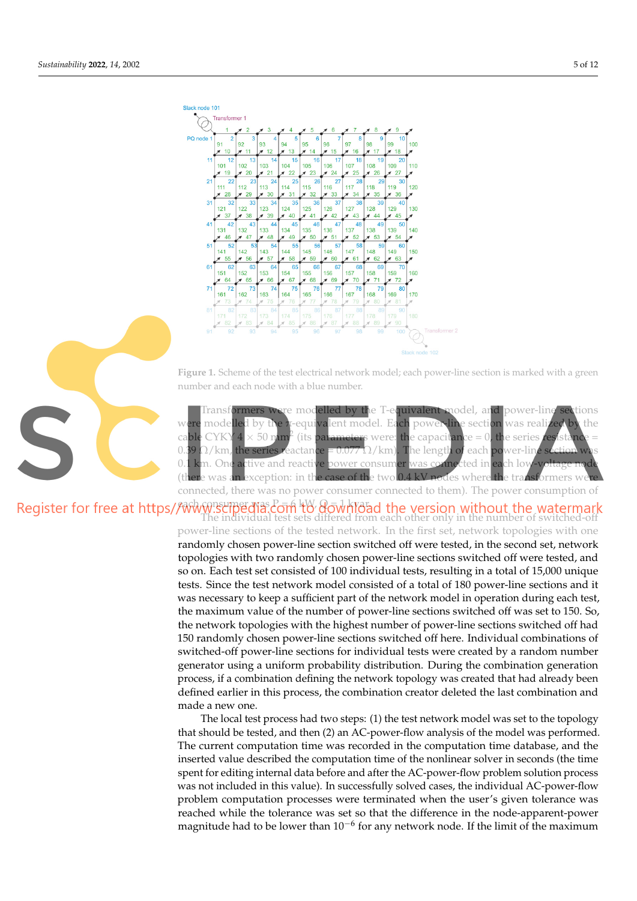



**Figure 1.** Scheme of the test electrical network model; each power-line section is marked with a green number and each node with a blue number.

were modelled by the π-equivalent model. Each power-line section was realized by the  $\Omega$ /km, the series reactance = 0.077  $\Omega$ /km) re mod**elled by th**e T-equivalent model, and power-line sections cable CYKY  $4 \times 50$  mm (its parameters were: the capacitance  $= 0$ , the series 0.39  $\Omega$ /km, the series reactance = 0.077  $\Omega$ /km). The length of each power-line 0.1 km. One active and reactive power consumer was connected in each loy (there was an exception: in the case of the two  $0.4 \text{ kV}$  nodes where the transformers w connected, there was no power consumer connected to them). The power consumption of

# Register for free at https//www.scipedia.com to download the version without the watermark The individual test sets differed from each other only in the number of switched-off power-line sections of the tested network. In the first set, network topologies with one randomly chosen power-line section switched off were tested, in the second set, network topologies with two randomly chosen power-line sections switched off were tested, and so on. Each test set consisted of 100 individual tests, resulting in a total of 15,000 unique tests. Since the test network model consisted of a total of 180 power-line sections and it

was necessary to keep a sufficient part of the network model in operation during each test, the maximum value of the number of power-line sections switched off was set to 150. So, the network topologies with the highest number of power-line sections switched off had 150 randomly chosen power-line sections switched off here. Individual combinations of switched-off power-line sections for individual tests were created by a random number generator using a uniform probability distribution. During the combination generation process, if a combination defining the network topology was created that had already been defined earlier in this process, the combination creator deleted the last combination and made a new one.

The local test process had two steps: (1) the test network model was set to the topology that should be tested, and then (2) an AC-power-flow analysis of the model was performed. The current computation time was recorded in the computation time database, and the inserted value described the computation time of the nonlinear solver in seconds (the time spent for editing internal data before and after the AC-power-flow problem solution process was not included in this value). In successfully solved cases, the individual AC-power-flow problem computation processes were terminated when the user's given tolerance was reached while the tolerance was set so that the difference in the node-apparent-power magnitude had to be lower than 10<sup>-6</sup> for any network node. If the limit of the maximum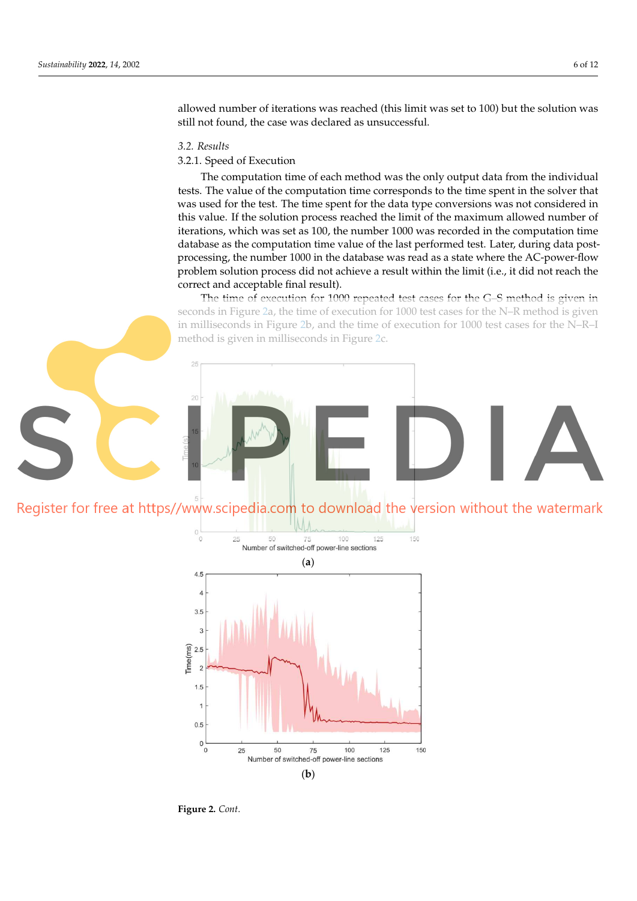allowed number of iterations was reached (this limit was set to 100) but the solution was still not found, the case was declared as unsuccessful.

#### *3.2. Results*

## 3.2.1. Speed of Execution

The computation time of each method was the only output data from the individual tests. The value of the computation time corresponds to the time spent in the solver that was used for the test. The time spent for the data type conversions was not considered in this value. If the solution process reached the limit of the maximum allowed number of iterations, which was set as 100, the number 1000 was recorded in the computation time database as the computation time value of the last performed test. Later, during data postprocessing, the number 1000 in the database was read as a state where the AC-power-flow problem solution process did not achieve a result within the limit (i.e., it did not reach the correct and acceptable final result).

The time of execution for 1000 repeated test cases for the G–S method is given in seconds in Figure 2a, the time of execution for 1000 test cases for the N–R method is given in milliseconds in Figure 2b, and the time of execution for 1000 test cases for the N–R–I method is given in milliseconds in Figure 2c.



Register for free at https//www.scipedia.com to download the version without the watermark



**Figure 2.** *Cont*.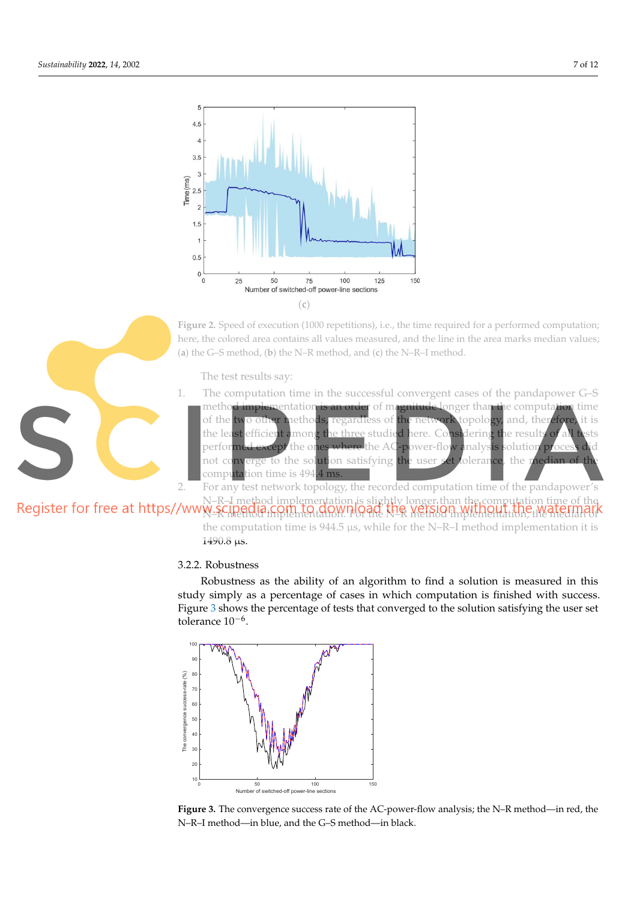

Figure 2. Speed of execution (1000 repetitions), i.e., the time required for a performed computation; here, the colored area contains all values measured, and the line in the area marks median values; (**a**) the G–S method, (**b**) the N–R method, and (**c**) the N–R–I method.

The test results say:

1. The computation time in the successful convergent cases of the pandapower G–S entation is an order of magnitude longer than the computation time of the two other methods, regardless of the network topology, and, therefore, it is the least efficient among the three studied here. Considering the results of all tests performed except the ones where the AC-power-flow analysis solution process did **not converge to the solution satisfying the user set tolerance**, the median of the computation time is 494.4 ms.

2. For any test network topology, the recorded computation time of the pandapower's N–R–I method implementation is slightly longer than the computation time of the

> N–R method implementation. For the N–R method implementation, the median of the computation time is 944.5  $\mu$ s, while for the N–R–I method implementation it is 1490.8 µs.

#### 3.2.2. Robustness

Robustness as the ability of an algorithm to find a solution is measured in this study simply as a percentage of cases in which computation is finished with success. Figure 3 shows the percentage of tests that converged to the solution satisfying the user set tolerance 10−<sup>6</sup> .



**Figure 3.** The convergence success rate of the AC-power-flow analysis; the N–R method—in red, the N–R–I method—in blue, and the G–S method—in black.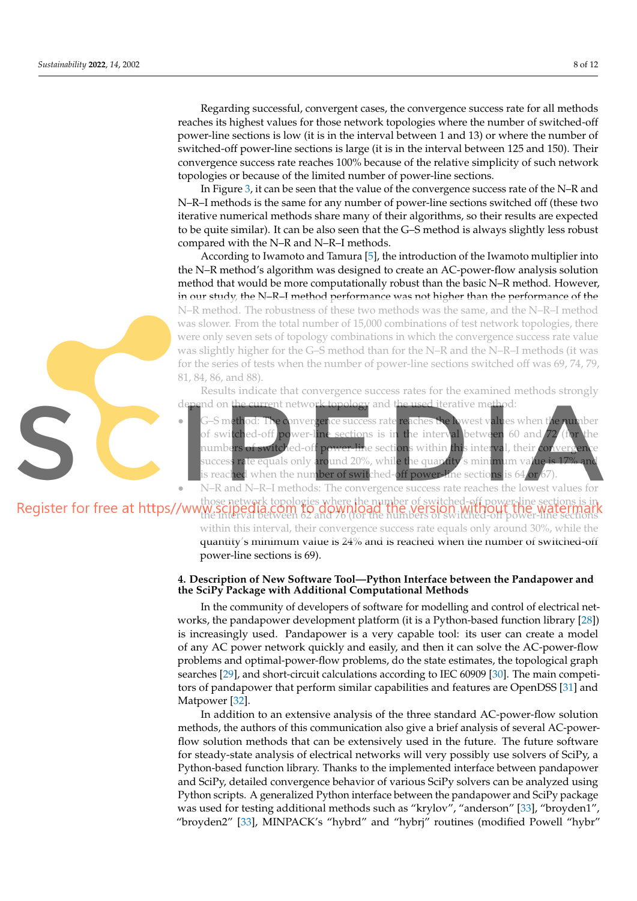Regarding successful, convergent cases, the convergence success rate for all methods reaches its highest values for those network topologies where the number of switched-off power-line sections is low (it is in the interval between 1 and 13) or where the number of switched-off power-line sections is large (it is in the interval between 125 and 150). Their convergence success rate reaches 100% because of the relative simplicity of such network topologies or because of the limited number of power-line sections.

In Figure 3, it can be seen that the value of the convergence success rate of the N–R and N–R–I methods is the same for any number of power-line sections switched off (these two iterative numerical methods share many of their algorithms, so their results are expected to be quite similar). It can be also seen that the G–S method is always slightly less robust compared with the N–R and N–R–I methods.

According to Iwamoto and Tamura [5], the introduction of the Iwamoto multiplier into the N–R method's algorithm was designed to create an AC-power-flow analysis solution method that would be more computationally robust than the basic N–R method. However, in our study, the N–R–I method performance was not higher than the performance of the N–R method. The robustness of these two methods was the same, and the N–R–I method was slower. From the total number of 15,000 combinations of test network topologies, there were only seven sets of topology combinations in which the convergence success rate value was slightly higher for the G–S method than for the N–R and the N–R–I methods (it was for the series of tests when the number of power-line sections switched off was 69, 74, 79, 81, 84, 86, and 88).

Results indicate that convergence success rates for the examined methods strongly depend on the current network topology and the used iterative method:

method: The convergence success rate reaches the lowest values when the number wer-line sections is in the interval between 60 and numbers of switched-off power-line sections within this interval, their ate equals only around 20%, while the quantity's minimum value reached when the number of switched-off power-line sections is 64 or • N–R and N–R–I methods: The convergence success rate reaches the lowest values for

those network topologies where the number of switched-off power-line sections is in Register for free at https//ww the interval between 62 and 76 (for the numbers of switched-off power-line sections within this interval, their convergence success rate equals only around 30%, while the quantity's minimum value is 24% and is reached when the number of switched-off power-line sections is 69).

## **4. Description of New Software Tool—Python Interface between the Pandapower and the SciPy Package with Additional Computational Methods**

In the community of developers of software for modelling and control of electrical networks, the pandapower development platform (it is a Python-based function library [28]) is increasingly used. Pandapower is a very capable tool: its user can create a model of any AC power network quickly and easily, and then it can solve the AC-power-flow problems and optimal-power-flow problems, do the state estimates, the topological graph searches [29], and short-circuit calculations according to IEC 60909 [30]. The main competitors of pandapower that perform similar capabilities and features are OpenDSS [31] and Matpower [32].

In addition to an extensive analysis of the three standard AC-power-flow solution methods, the authors of this communication also give a brief analysis of several AC-powerflow solution methods that can be extensively used in the future. The future software for steady-state analysis of electrical networks will very possibly use solvers of SciPy, a Python-based function library. Thanks to the implemented interface between pandapower and SciPy, detailed convergence behavior of various SciPy solvers can be analyzed using Python scripts. A generalized Python interface between the pandapower and SciPy package was used for testing additional methods such as "krylov", "anderson" [33], "broyden1", "broyden2" [33], MINPACK's "hybrd" and "hybrj" routines (modified Powell "hybr"

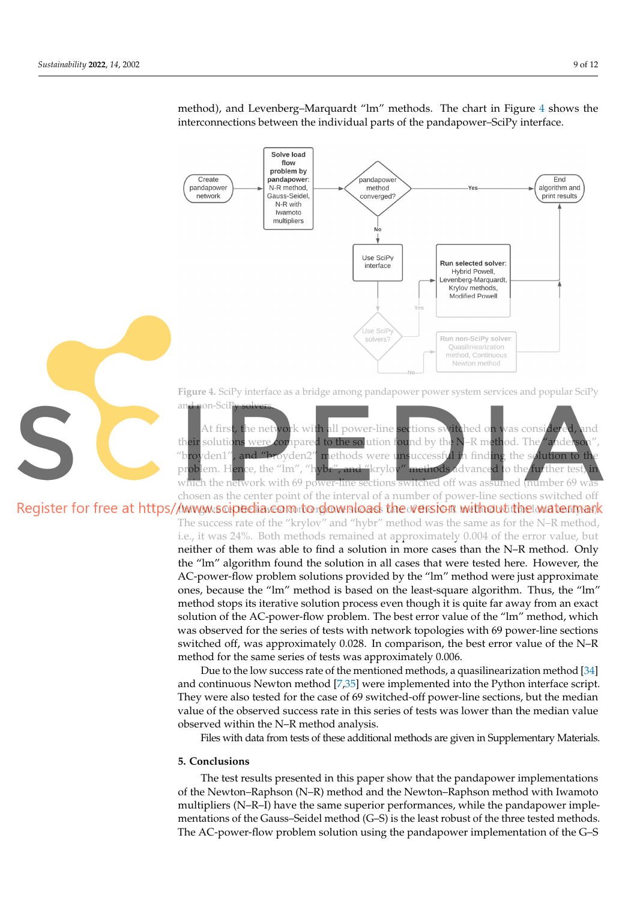

method), and Levenberg–Marquardt "lm" methods. The chart in Figure 4 shows the interconnections between the individual parts of the pandapower–SciPy interface.

```
S
```
**Figure 4.** SciPy interface as a bridge among pandapower power system services and popular SciPy an<del>d n</del>on-Sci

At first, the network with all power-line sections switched on was cons their solutions were compared to the solution found by the  $N-R$  method. The "broyden1", and "broyden2" methods were unsuccessful in finding the solution problem. Hence, the "lm", "hybr", and "krylov" methods advanced to the further test which the network with 69 power-line sections switched off was assumed (number 69 was chosen as the center point of the interval of a number of power-line sections switched off

Register for free at https//www.wscipedia.com.to.download the version without the watermark The success rate of the "krylov" and "hybr" method was the same as for the N–R method, i.e., it was 24%. Both methods remained at approximately 0.004 of the error value, but neither of them was able to find a solution in more cases than the N–R method. Only the "lm" algorithm found the solution in all cases that were tested here. However, the AC-power-flow problem solutions provided by the "lm" method were just approximate ones, because the "lm" method is based on the least-square algorithm. Thus, the "lm" method stops its iterative solution process even though it is quite far away from an exact solution of the AC-power-flow problem. The best error value of the "lm" method, which was observed for the series of tests with network topologies with 69 power-line sections switched off, was approximately 0.028. In comparison, the best error value of the N–R method for the same series of tests was approximately 0.006.

> Due to the low success rate of the mentioned methods, a quasilinearization method [34] and continuous Newton method [7,35] were implemented into the Python interface script. They were also tested for the case of 69 switched-off power-line sections, but the median value of the observed success rate in this series of tests was lower than the median value observed within the N–R method analysis.

Files with data from tests of these additional methods are given in Supplementary Materials.

### **5. Conclusions**

The test results presented in this paper show that the pandapower implementations of the Newton–Raphson (N–R) method and the Newton–Raphson method with Iwamoto multipliers (N–R–I) have the same superior performances, while the pandapower implementations of the Gauss–Seidel method (G–S) is the least robust of the three tested methods. The AC-power-flow problem solution using the pandapower implementation of the G–S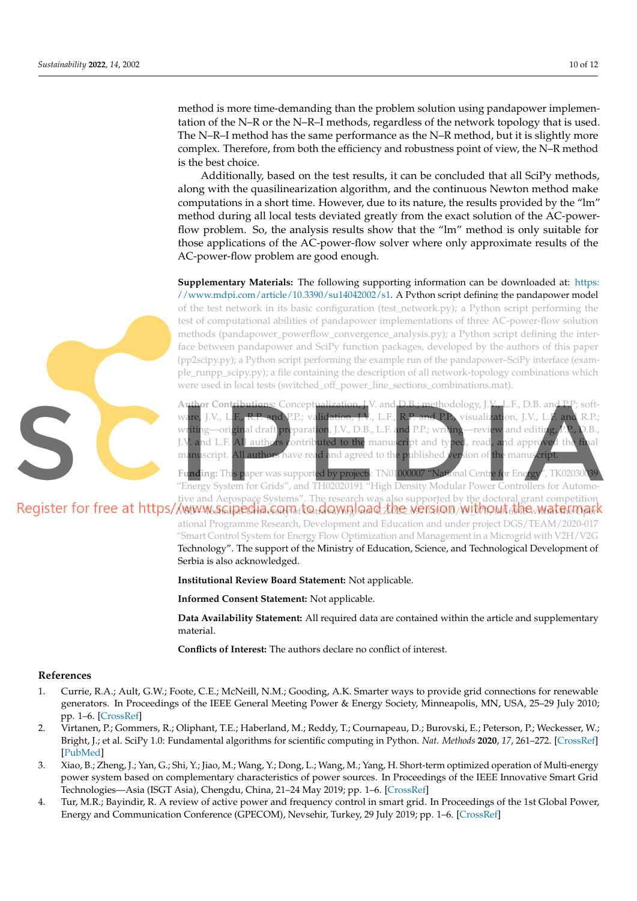method is more time-demanding than the problem solution using pandapower implementation of the N–R or the N–R–I methods, regardless of the network topology that is used. The N–R–I method has the same performance as the N–R method, but it is slightly more complex. Therefore, from both the efficiency and robustness point of view, the N–R method is the best choice.

Additionally, based on the test results, it can be concluded that all SciPy methods, along with the quasilinearization algorithm, and the continuous Newton method make computations in a short time. However, due to its nature, the results provided by the "lm" method during all local tests deviated greatly from the exact solution of the AC-powerflow problem. So, the analysis results show that the "lm" method is only suitable for those applications of the AC-power-flow solver where only approximate results of the AC-power-flow problem are good enough.

**Supplementary Materials:** The following supporting information can be downloaded at: https: //www.mdpi.com/article/10.3390/su14042002/s1. A Python script defining the pandapower model of the test network in its basic configuration (test\_network.py); a Python script performing the test of computational abilities of pandapower implementations of three AC-power-flow solution methods (pandapower\_powerflow\_convergence\_analysis.py); a Python script defining the interface between pandapower and SciPy function packages, developed by the authors of this paper (pp2scipy.py); a Python script performing the example run of the pandapower–SciPy interface (example\_runpp\_scipy.py); a file containing the description of all network-topology combinations which were used in local tests (switched\_off\_power\_line\_sections\_combinations.mat).

**Author Contributions:** Conceptualization, J.V. and D.B.; methodology, J.V., L.F., D.B. and P.P; software, J.V., L.F., R.P. and P.P.; validation, J.V., L.F., R.P. and P.P., visualization, J.V., L.F. and R.P.; w<mark>riting—origin</mark>al draft preparation, J.V., D.B., L.F. and P.P.; writing—review and editing, P.P., D.B., J.V. and L.F. All authors contributed to the manuscript and typed, read, and approved the final m<mark>anu</mark>script. <mark>All authors h</mark>ave read and agreed to the published *v*ersion of the manus

Funding: This paper was supported by projects: TN01000007 "National Centre for Energy", TK02030 "Energy System for Grids", and TH02020191 "High Density Modular Power Controllers for Automotive and Aerospace Systems". The research was also supported by the doctoral grant competition

Register for free at https//www.scipedia.com to download the version/without the waternark

ational Programme Research, Development and Education and under project DGS/TEAM/2020-017 "Smart Control System for Energy Flow Optimization and Management in a Microgrid with V2H/V2G Technology". The support of the Ministry of Education, Science, and Technological Development of Serbia is also acknowledged.

**Institutional Review Board Statement:** Not applicable.

**Informed Consent Statement:** Not applicable.

**Data Availability Statement:** All required data are contained within the article and supplementary material.

**Conflicts of Interest:** The authors declare no conflict of interest.

## **References**

- 1. Currie, R.A.; Ault, G.W.; Foote, C.E.; McNeill, N.M.; Gooding, A.K. Smarter ways to provide grid connections for renewable generators. In Proceedings of the IEEE General Meeting Power & Energy Society, Minneapolis, MN, USA, 25–29 July 2010; pp. 1–6. [CrossRef]
- 2. Virtanen, P.; Gommers, R.; Oliphant, T.E.; Haberland, M.; Reddy, T.; Cournapeau, D.; Burovski, E.; Peterson, P.; Weckesser, W.; Bright, J.; et al. SciPy 1.0: Fundamental algorithms for scientific computing in Python. *Nat. Methods* **2020**, *17*, 261–272. [CrossRef] [PubMed]
- 3. Xiao, B.; Zheng, J.; Yan, G.; Shi, Y.; Jiao, M.; Wang, Y.; Dong, L.; Wang, M.; Yang, H. Short-term optimized operation of Multi-energy power system based on complementary characteristics of power sources. In Proceedings of the IEEE Innovative Smart Grid Technologies—Asia (ISGT Asia), Chengdu, China, 21–24 May 2019; pp. 1–6. [CrossRef]
- 4. Tur, M.R.; Bayindir, R. A review of active power and frequency control in smart grid. In Proceedings of the 1st Global Power, Energy and Communication Conference (GPECOM), Nevsehir, Turkey, 29 July 2019; pp. 1–6. [CrossRef]

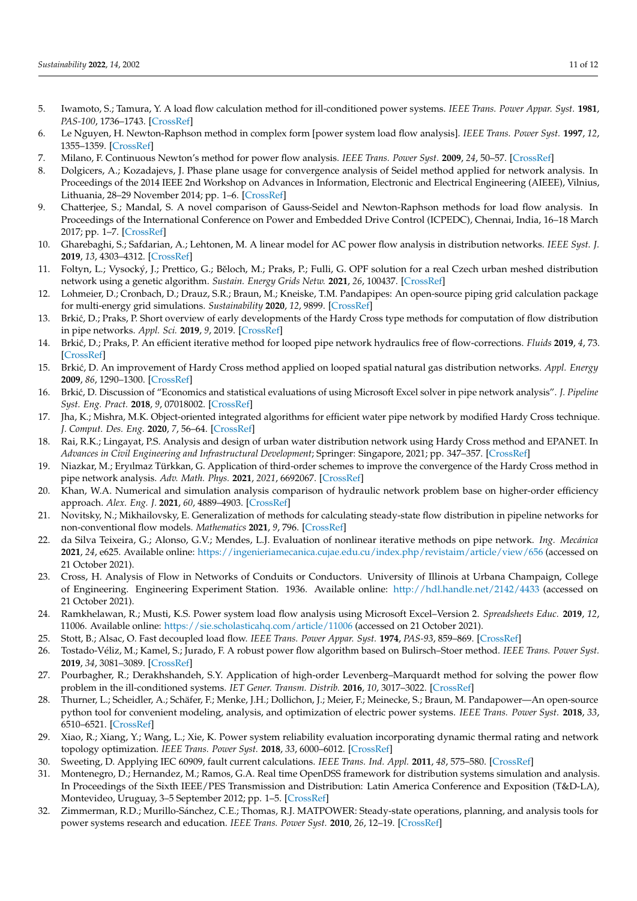- 5. Iwamoto, S.; Tamura, Y. A load flow calculation method for ill-conditioned power systems. *IEEE Trans. Power Appar. Syst.* **1981**, *PAS-100*, 1736–1743. [CrossRef]
- 6. Le Nguyen, H. Newton-Raphson method in complex form [power system load flow analysis]. *IEEE Trans. Power Syst.* **1997**, *12*, 1355–1359. [CrossRef]
- 7. Milano, F. Continuous Newton's method for power flow analysis. *IEEE Trans. Power Syst.* **2009**, *24*, 50–57. [CrossRef]
- 8. Dolgicers, A.; Kozadajevs, J. Phase plane usage for convergence analysis of Seidel method applied for network analysis. In Proceedings of the 2014 IEEE 2nd Workshop on Advances in Information, Electronic and Electrical Engineering (AIEEE), Vilnius, Lithuania, 28–29 November 2014; pp. 1–6. [CrossRef]
- 9. Chatterjee, S.; Mandal, S. A novel comparison of Gauss-Seidel and Newton-Raphson methods for load flow analysis. In Proceedings of the International Conference on Power and Embedded Drive Control (ICPEDC), Chennai, India, 16–18 March 2017; pp. 1–7. [CrossRef]
- 10. Gharebaghi, S.; Safdarian, A.; Lehtonen, M. A linear model for AC power flow analysis in distribution networks. *IEEE Syst. J.* **2019**, *13*, 4303–4312. [CrossRef]
- 11. Foltyn, L.; Vysocký, J.; Prettico, G.; Běloch, M.; Praks, P.; Fulli, G. OPF solution for a real Czech urban meshed distribution network using a genetic algorithm. *Sustain. Energy Grids Netw.* **2021**, *26*, 100437. [CrossRef]
- 12. Lohmeier, D.; Cronbach, D.; Drauz, S.R.; Braun, M.; Kneiske, T.M. Pandapipes: An open-source piping grid calculation package for multi-energy grid simulations. *Sustainability* **2020**, *12*, 9899. [CrossRef]
- 13. Brkić, D.; Praks, P. Short overview of early developments of the Hardy Cross type methods for computation of flow distribution in pipe networks. *Appl. Sci.* **2019**, *9*, 2019. [CrossRef]
- 14. Brki´c, D.; Praks, P. An efficient iterative method for looped pipe network hydraulics free of flow-corrections. *Fluids* **2019**, *4*, 73. [CrossRef]
- 15. Brki´c, D. An improvement of Hardy Cross method applied on looped spatial natural gas distribution networks. *Appl. Energy* **2009**, *86*, 1290–1300. [CrossRef]
- 16. Brki´c, D. Discussion of "Economics and statistical evaluations of using Microsoft Excel solver in pipe network analysis". *J. Pipeline Syst. Eng. Pract.* **2018**, *9*, 07018002. [CrossRef]
- 17. Jha, K.; Mishra, M.K. Object-oriented integrated algorithms for efficient water pipe network by modified Hardy Cross technique. *J. Comput. Des. Eng.* **2020**, *7*, 56–64. [CrossRef]
- 18. Rai, R.K.; Lingayat, P.S. Analysis and design of urban water distribution network using Hardy Cross method and EPANET. In *Advances in Civil Engineering and Infrastructural Development*; Springer: Singapore, 2021; pp. 347–357. [CrossRef]
- 19. Niazkar, M.; Eryılmaz Türkkan, G. Application of third-order schemes to improve the convergence of the Hardy Cross method in pipe network analysis. *Adv. Math. Phys.* **2021**, *2021*, 6692067. [CrossRef]
- 20. Khan, W.A. Numerical and simulation analysis comparison of hydraulic network problem base on higher-order efficiency approach. *Alex. Eng. J.* **2021**, *60*, 4889–4903. [CrossRef]
- 21. Novitsky, N.; Mikhailovsky, E. Generalization of methods for calculating steady-state flow distribution in pipeline networks for non-conventional flow models. *Mathematics* **2021**, *9*, 796. [CrossRef]
- 22. da Silva Teixeira, G.; Alonso, G.V.; Mendes, L.J. Evaluation of nonlinear iterative methods on pipe network. *Ing. Mecánica* **2021**, *24*, e625. Available online: https://ingenieriamecanica.cujae.edu.cu/index.php/revistaim/article/view/656 (accessed on 21 October 2021).
- 23. Cross, H. Analysis of Flow in Networks of Conduits or Conductors. University of Illinois at Urbana Champaign, College of Engineering. Engineering Experiment Station. 1936. Available online: http://hdl.handle.net/2142/4433 (accessed on 21 October 2021).
- 24. Ramkhelawan, R.; Musti, K.S. Power system load flow analysis using Microsoft Excel–Version 2. *Spreadsheets Educ.* **2019**, *12*, 11006. Available online: https://sie.scholasticahq.com/article/11006 (accessed on 21 October 2021).
- 25. Stott, B.; Alsac, O. Fast decoupled load flow. *IEEE Trans. Power Appar. Syst.* **1974**, *PAS-93*, 859–869. [CrossRef]
- 26. Tostado-Véliz, M.; Kamel, S.; Jurado, F. A robust power flow algorithm based on Bulirsch–Stoer method. *IEEE Trans. Power Syst.* **2019**, *34*, 3081–3089. [CrossRef]
- 27. Pourbagher, R.; Derakhshandeh, S.Y. Application of high-order Levenberg–Marquardt method for solving the power flow problem in the ill-conditioned systems. *IET Gener. Transm. Distrib.* **2016**, *10*, 3017–3022. [CrossRef]
- 28. Thurner, L.; Scheidler, A.; Schäfer, F.; Menke, J.H.; Dollichon, J.; Meier, F.; Meinecke, S.; Braun, M. Pandapower—An open-source python tool for convenient modeling, analysis, and optimization of electric power systems. *IEEE Trans. Power Syst.* **2018**, *33*, 6510–6521. [CrossRef]
- 29. Xiao, R.; Xiang, Y.; Wang, L.; Xie, K. Power system reliability evaluation incorporating dynamic thermal rating and network topology optimization. *IEEE Trans. Power Syst.* **2018**, *33*, 6000–6012. [CrossRef]
- 30. Sweeting, D. Applying IEC 60909, fault current calculations. *IEEE Trans. Ind. Appl.* **2011**, *48*, 575–580. [CrossRef]
- 31. Montenegro, D.; Hernandez, M.; Ramos, G.A. Real time OpenDSS framework for distribution systems simulation and analysis. In Proceedings of the Sixth IEEE/PES Transmission and Distribution: Latin America Conference and Exposition (T&D-LA), Montevideo, Uruguay, 3–5 September 2012; pp. 1–5. [CrossRef]
- 32. Zimmerman, R.D.; Murillo-Sánchez, C.E.; Thomas, R.J. MATPOWER: Steady-state operations, planning, and analysis tools for power systems research and education. *IEEE Trans. Power Syst.* **2010**, *26*, 12–19. [CrossRef]